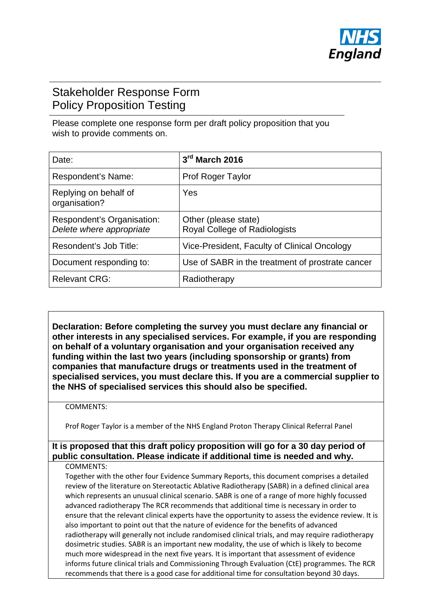

# Stakeholder Response Form Policy Proposition Testing

Please complete one response form per draft policy proposition that you wish to provide comments on.

| Date:                                                  | 3rd March 2016                                               |
|--------------------------------------------------------|--------------------------------------------------------------|
| Respondent's Name:                                     | <b>Prof Roger Taylor</b>                                     |
| Replying on behalf of<br>organisation?                 | Yes                                                          |
| Respondent's Organisation:<br>Delete where appropriate | Other (please state)<br><b>Royal College of Radiologists</b> |
| Resondent's Job Title:                                 | Vice-President, Faculty of Clinical Oncology                 |
| Document responding to:                                | Use of SABR in the treatment of prostrate cancer             |
| <b>Relevant CRG:</b>                                   | Radiotherapy                                                 |

**Declaration: Before completing the survey you must declare any financial or other interests in any specialised services. For example, if you are responding on behalf of a voluntary organisation and your organisation received any funding within the last two years (including sponsorship or grants) from companies that manufacture drugs or treatments used in the treatment of specialised services, you must declare this. If you are a commercial supplier to the NHS of specialised services this should also be specified.** 

#### COMMENTS:

Prof Roger Taylor is a member of the NHS England Proton Therapy Clinical Referral Panel

## **It is proposed that this draft policy proposition will go for a 30 day period of public consultation. Please indicate if additional time is needed and why.**

#### COMMENTS:

Together with the other four Evidence Summary Reports, this document comprises a detailed review of the literature on Stereotactic Ablative Radiotherapy (SABR) in a defined clinical area which represents an unusual clinical scenario. SABR is one of a range of more highly focussed advanced radiotherapy The RCR recommends that additional time is necessary in order to ensure that the relevant clinical experts have the opportunity to assess the evidence review. It is also important to point out that the nature of evidence for the benefits of advanced radiotherapy will generally not include randomised clinical trials, and may require radiotherapy dosimetric studies. SABR is an important new modality, the use of which is likely to become much more widespread in the next five years. It is important that assessment of evidence informs future clinical trials and Commissioning Through Evaluation (CtE) programmes. The RCR recommends that there is a good case for additional time for consultation beyond 30 days.